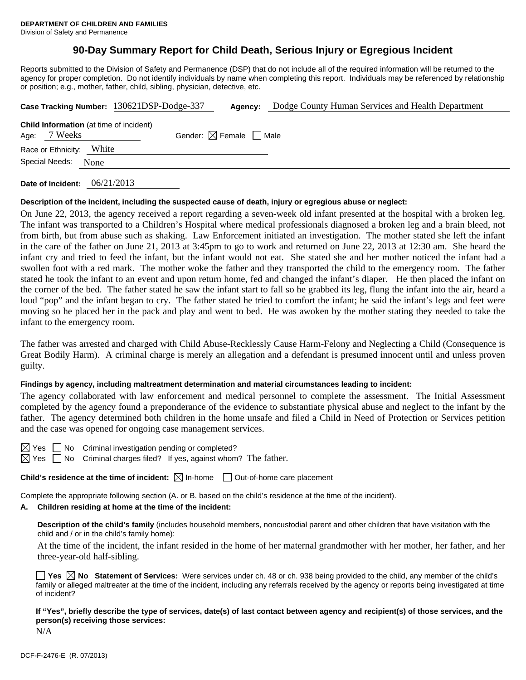# **90-Day Summary Report for Child Death, Serious Injury or Egregious Incident**

Reports submitted to the Division of Safety and Permanence (DSP) that do not include all of the required information will be returned to the agency for proper completion. Do not identify individuals by name when completing this report. Individuals may be referenced by relationship or position; e.g., mother, father, child, sibling, physician, detective, etc.

|                                                                | Case Tracking Number: 130621DSP-Dodge-337 | Agency:                                | Dodge County Human Services and Health Department |
|----------------------------------------------------------------|-------------------------------------------|----------------------------------------|---------------------------------------------------|
| <b>Child Information</b> (at time of incident)<br>Age: 7 Weeks |                                           | Gender: $\boxtimes$ Female $\Box$ Male |                                                   |
| White<br>Race or Ethnicity:                                    |                                           |                                        |                                                   |
| Special Needs:<br>None                                         |                                           |                                        |                                                   |
|                                                                |                                           |                                        |                                                   |

**Date of Incident:** 06/21/2013

#### **Description of the incident, including the suspected cause of death, injury or egregious abuse or neglect:**

On June 22, 2013, the agency received a report regarding a seven-week old infant presented at the hospital with a broken leg. The infant was transported to a Children's Hospital where medical professionals diagnosed a broken leg and a brain bleed, not from birth, but from abuse such as shaking. Law Enforcement initiated an investigation. The mother stated she left the infant in the care of the father on June 21, 2013 at 3:45pm to go to work and returned on June 22, 2013 at 12:30 am. She heard the infant cry and tried to feed the infant, but the infant would not eat. She stated she and her mother noticed the infant had a swollen foot with a red mark. The mother woke the father and they transported the child to the emergency room. The father stated he took the infant to an event and upon return home, fed and changed the infant's diaper. He then placed the infant on the corner of the bed. The father stated he saw the infant start to fall so he grabbed its leg, flung the infant into the air, heard a loud "pop" and the infant began to cry. The father stated he tried to comfort the infant; he said the infant's legs and feet were moving so he placed her in the pack and play and went to bed. He was awoken by the mother stating they needed to take the infant to the emergency room.

The father was arrested and charged with Child Abuse-Recklessly Cause Harm-Felony and Neglecting a Child (Consequence is Great Bodily Harm). A criminal charge is merely an allegation and a defendant is presumed innocent until and unless proven guilty.

#### **Findings by agency, including maltreatment determination and material circumstances leading to incident:**

The agency collaborated with law enforcement and medical personnel to complete the assessment. The Initial Assessment completed by the agency found a preponderance of the evidence to substantiate physical abuse and neglect to the infant by the father. The agency determined both children in the home unsafe and filed a Child in Need of Protection or Services petition and the case was opened for ongoing case management services.

 $\Box$  No Criminal investigation pending or completed?

Yes  $\Box$  No Criminal charges filed? If yes, against whom? The father.

**Child's residence at the time of incident:**  $\boxtimes$  In-home  $\Box$  Out-of-home care placement

Complete the appropriate following section (A. or B. based on the child's residence at the time of the incident).

#### **A. Children residing at home at the time of the incident:**

**Description of the child's family** (includes household members, noncustodial parent and other children that have visitation with the child and / or in the child's family home):

 At the time of the incident, the infant resided in the home of her maternal grandmother with her mother, her father, and her three-year-old half-sibling.

**Yes No Statement of Services:** Were services under ch. 48 or ch. 938 being provided to the child, any member of the child's family or alleged maltreater at the time of the incident, including any referrals received by the agency or reports being investigated at time of incident?

**If "Yes", briefly describe the type of services, date(s) of last contact between agency and recipient(s) of those services, and the person(s) receiving those services:** 

N/A